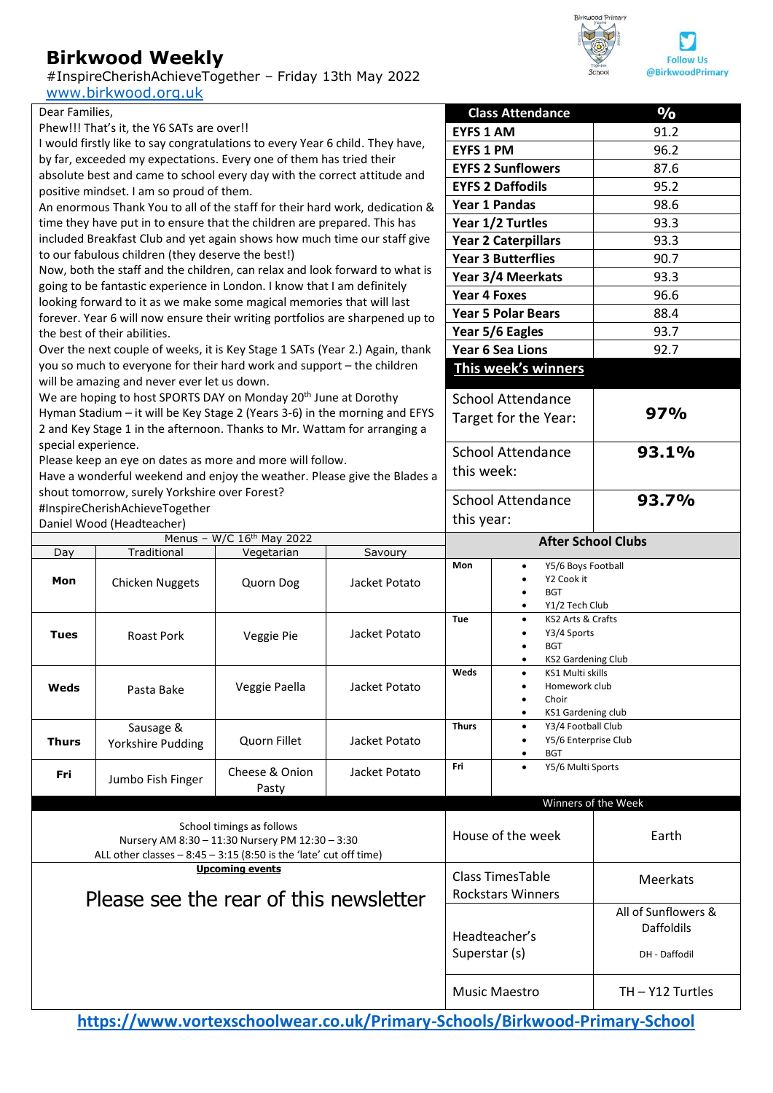# **Birkwood Weekly**

## #InspireCherishAchieveTogether – Friday 13th May 2022

[www.birkwood.org.uk](http://www.birkwood.org.uk/)



**https://www.vortexschoolwear.co.uk/Primary-Schools/Birkwood-Primary-School**